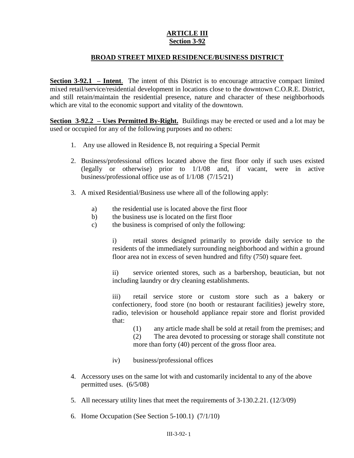## **ARTICLE III Section 3-92**

## **BROAD STREET MIXED RESIDENCE/BUSINESS DISTRICT**

**Section 3-92.1 – Intent**. The intent of this District is to encourage attractive compact limited mixed retail/service/residential development in locations close to the downtown C.O.R.E. District, and still retain/maintain the residential presence, nature and character of these neighborhoods which are vital to the economic support and vitality of the downtown.

**Section 3-92.2 – Uses Permitted By-Right.** Buildings may be erected or used and a lot may be used or occupied for any of the following purposes and no others:

- 1. Any use allowed in Residence B, not requiring a Special Permit
- 2. Business/professional offices located above the first floor only if such uses existed (legally or otherwise) prior to 1/1/08 and, if vacant, were in active business/professional office use as of 1/1/08 (7/15/21)
- 3. A mixed Residential/Business use where all of the following apply:
	- a) the residential use is located above the first floor
	- b) the business use is located on the first floor
	- c) the business is comprised of only the following:

i) retail stores designed primarily to provide daily service to the residents of the immediately surrounding neighborhood and within a ground floor area not in excess of seven hundred and fifty (750) square feet.

ii) service oriented stores, such as a barbershop, beautician, but not including laundry or dry cleaning establishments.

iii) retail service store or custom store such as a bakery or confectionery, food store (no booth or restaurant facilities) jewelry store, radio, television or household appliance repair store and florist provided that:

(1) any article made shall be sold at retail from the premises; and

(2) The area devoted to processing or storage shall constitute not more than forty (40) percent of the gross floor area.

- iv) business/professional offices
- 4. Accessory uses on the same lot with and customarily incidental to any of the above permitted uses. (6/5/08)
- 5. All necessary utility lines that meet the requirements of 3-130.2.21. (12/3/09)
- 6. Home Occupation (See Section 5-100.1) (7/1/10)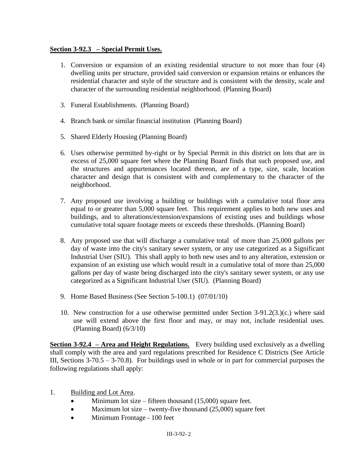## **Section 3-92.3 – Special Permit Uses.**

- 1. Conversion or expansion of an existing residential structure to not more than four (4) dwelling units per structure, provided said conversion or expansion retains or enhances the residential character and style of the structure and is consistent with the density, scale and character of the surrounding residential neighborhood. (Planning Board)
- 3. Funeral Establishments. (Planning Board)
- 4. Branch bank or similar financial institution (Planning Board)
- 5. Shared Elderly Housing (Planning Board)
- 6. Uses otherwise permitted by-right or by Special Permit in this district on lots that are in excess of 25,000 square feet where the Planning Board finds that such proposed use, and the structures and appurtenances located thereon, are of a type, size, scale, location character and design that is consistent with and complementary to the character of the neighborhood.
- 7. Any proposed use involving a building or buildings with a cumulative total floor area equal to or greater than 5,000 square feet. This requirement applies to both new uses and buildings, and to alterations/extension/expansions of existing uses and buildings whose cumulative total square footage meets or exceeds these thresholds. (Planning Board)
- 8. Any proposed use that will discharge a cumulative total of more than 25,000 gallons per day of waste into the city's sanitary sewer system, or any use categorized as a Significant Industrial User (SIU). This shall apply to both new uses and to any alteration, extension or expansion of an existing use which would result in a cumulative total of more than 25,000 gallons per day of waste being discharged into the city's sanitary sewer system, or any use categorized as a Significant Industrial User (SIU). (Planning Board)
- 9. Home Based Business (See Section 5-100.1) (07/01/10)
- 10. New construction for a use otherwise permitted under Section 3-91.2(3.)(c.) where said use will extend above the first floor and may, or may not, include residential uses. (Planning Board) (6/3/10)

**Section 3-92.4 – Area and Height Regulations.** Every building used exclusively as a dwelling shall comply with the area and yard regulations prescribed for Residence C Districts (See Article III, Sections  $3-70.5 - 3-70.8$ ). For buildings used in whole or in part for commercial purposes the following regulations shall apply:

- 1. Building and Lot Area.
	- $\bullet$  Minimum lot size fifteen thousand (15,000) square feet.
	- Maximum lot size twenty-five thousand  $(25,000)$  square feet
	- Minimum Frontage 100 feet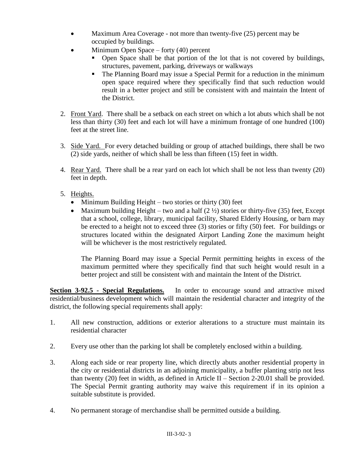- Maximum Area Coverage not more than twenty-five (25) percent may be occupied by buildings.
- Minimum Open Space forty (40) percent
	- Open Space shall be that portion of the lot that is not covered by buildings, structures, pavement, parking, driveways or walkways
	- The Planning Board may issue a Special Permit for a reduction in the minimum open space required where they specifically find that such reduction would result in a better project and still be consistent with and maintain the Intent of the District.
- 2. Front Yard. There shall be a setback on each street on which a lot abuts which shall be not less than thirty (30) feet and each lot will have a minimum frontage of one hundred (100) feet at the street line.
- 3. Side Yard. For every detached building or group of attached buildings, there shall be two (2) side yards, neither of which shall be less than fifteen (15) feet in width.
- 4. Rear Yard. There shall be a rear yard on each lot which shall be not less than twenty (20) feet in depth.
- 5. Heights.
	- Minimum Building Height two stories or thirty (30) feet
	- Maximum building Height two and a half  $(2 \frac{1}{2})$  stories or thirty-five (35) feet, Except that a school, college, library, municipal facility, Shared Elderly Housing, or barn may be erected to a height not to exceed three (3) stories or fifty (50) feet. For buildings or structures located within the designated Airport Landing Zone the maximum height will be whichever is the most restrictively regulated.

The Planning Board may issue a Special Permit permitting heights in excess of the maximum permitted where they specifically find that such height would result in a better project and still be consistent with and maintain the Intent of the District.

**Section 3-92.5 - Special Regulations.** In order to encourage sound and attractive mixed residential/business development which will maintain the residential character and integrity of the district, the following special requirements shall apply:

- 1. All new construction, additions or exterior alterations to a structure must maintain its residential character
- 2. Every use other than the parking lot shall be completely enclosed within a building.
- 3. Along each side or rear property line, which directly abuts another residential property in the city or residential districts in an adjoining municipality, a buffer planting strip not less than twenty (20) feet in width, as defined in Article II – Section 2-20.01 shall be provided. The Special Permit granting authority may waive this requirement if in its opinion a suitable substitute is provided.
- 4. No permanent storage of merchandise shall be permitted outside a building.